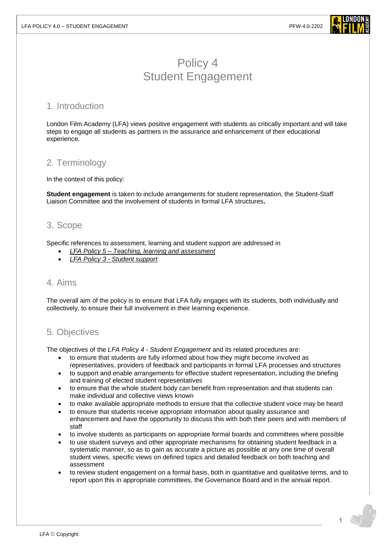

# Policy 4 Student Engagement

#### 1. Introduction

London Film Academy (LFA) views positive engagement with students as critically important and will take steps to engage all students as partners in the assurance and enhancement of their educational experience.

#### 2. Terminology

In the context of this policy:

**Student engagement** is taken to include arrangements for student representation, the Student-Staff Liaison Committee and the involvement of students in formal LFA structures**.**

### 3. Scope

Specific references to assessment, learning and student support are addressed in

- *LFA Policy 5 – Teaching, [learning and assessment](https://www.londonfilmacademy.com/LFA_Policy_5_Teaching,_Learning_and_assessment.pdf)*
- *LFA Policy 3 - [Student support](https://www.londonfilmacademy.com/LFA_Policy_3_Student_support.pdf)*

#### 4. Aims

The overall aim of the policy is to ensure that LFA fully engages with its students, both individually and collectively, to ensure their full involvement in their learning experience.

## 5. Objectives

The objectives of the *LFA Policy 4 - Student Engagement* and its related procedures are:

- to ensure that students are fully informed about how they might become involved as representatives, providers of feedback and participants in formal LFA processes and structures
- to support and enable arrangements for effective student representation, including the briefing and training of elected student representatives
- to ensure that the whole student body can benefit from representation and that students can make individual and collective views known
- to make available appropriate methods to ensure that the collective student voice may be heard
- to ensure that students receive appropriate information about quality assurance and enhancement and have the opportunity to discuss this with both their peers and with members of staff
- to involve students as participants on appropriate formal boards and committees where possible
- to use student surveys and other appropriate mechanisms for obtaining student feedback in a systematic manner, so as to gain as accurate a picture as possible at any one time of overall student views, specific views on defined topics and detailed feedback on both teaching and assessment
- to review student engagement on a formal basis, both in quantitative and qualitative terms, and to report upon this in appropriate committees, the Governance Board and in the annual report.